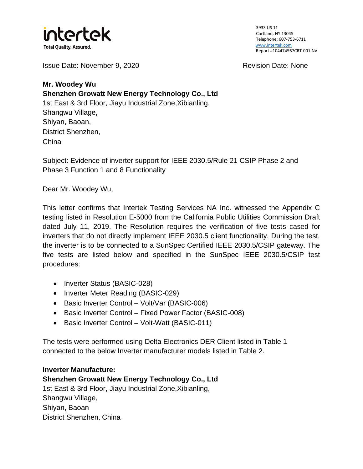

Issue Date: November 9, 2020 Revision Date: None

**Mr. Woodey Wu Shenzhen Growatt New Energy Technology Co., Ltd** 1st East & 3rd Floor, Jiayu Industrial Zone,Xibianling, Shangwu Village, Shiyan, Baoan, District Shenzhen, China

Subject: Evidence of inverter support for IEEE 2030.5/Rule 21 CSIP Phase 2 and Phase 3 Function 1 and 8 Functionality

Dear Mr. Woodey Wu,

This letter confirms that Intertek Testing Services NA Inc. witnessed the Appendix C testing listed in Resolution E-5000 from the California Public Utilities Commission Draft dated July 11, 2019. The Resolution requires the verification of five tests cased for inverters that do not directly implement IEEE 2030.5 client functionality. During the test, the inverter is to be connected to a SunSpec Certified IEEE 2030.5/CSIP gateway. The five tests are listed below and specified in the SunSpec IEEE 2030.5/CSIP test procedures:

- Inverter Status (BASIC-028)
- Inverter Meter Reading (BASIC-029)
- Basic Inverter Control Volt/Var (BASIC-006)
- Basic Inverter Control Fixed Power Factor (BASIC-008)
- Basic Inverter Control Volt-Watt (BASIC-011)

The tests were performed using Delta Electronics DER Client listed in Table 1 connected to the below Inverter manufacturer models listed in Table 2.

**Inverter Manufacture: Shenzhen Growatt New Energy Technology Co., Ltd**  1st East & 3rd Floor, Jiayu Industrial Zone,Xibianling, Shangwu Village, Shiyan, Baoan District Shenzhen, China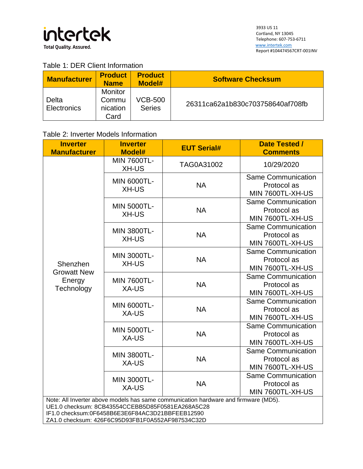

## Table 1: DER Client Information

| <b>Manufacturer</b>  | <b>Product</b><br><b>Name</b>               | <b>Product</b><br>Model#        | <b>Software Checksum</b>         |
|----------------------|---------------------------------------------|---------------------------------|----------------------------------|
| Delta<br>Electronics | <b>Monitor</b><br>Commu<br>nication<br>Card | <b>VCB-500</b><br><b>Series</b> | 26311ca62a1b830c703758640af708fb |

## Table 2: Inverter Models Information

| <b>Inverter</b><br><b>Manufacturer</b>                                                                                                                                                                                                         | <b>Inverter</b><br>Model#          | <b>EUT Serial#</b> | <b>Date Tested /</b><br><b>Comments</b>                      |  |  |  |
|------------------------------------------------------------------------------------------------------------------------------------------------------------------------------------------------------------------------------------------------|------------------------------------|--------------------|--------------------------------------------------------------|--|--|--|
| Shenzhen<br><b>Growatt New</b>                                                                                                                                                                                                                 | <b>MIN 7600TL-</b><br>XH-US        | TAG0A31002         | 10/29/2020                                                   |  |  |  |
|                                                                                                                                                                                                                                                | <b>MIN 6000TL-</b><br>XH-US        | <b>NA</b>          | <b>Same Communication</b><br>Protocol as<br>MIN 7600TL-XH-US |  |  |  |
|                                                                                                                                                                                                                                                | <b>MIN 5000TL-</b><br><b>XH-US</b> | <b>NA</b>          | <b>Same Communication</b><br>Protocol as<br>MIN 7600TL-XH-US |  |  |  |
|                                                                                                                                                                                                                                                | <b>MIN 3800TL-</b><br>XH-US        | <b>NA</b>          | <b>Same Communication</b><br>Protocol as<br>MIN 7600TL-XH-US |  |  |  |
|                                                                                                                                                                                                                                                | <b>MIN 3000TL-</b><br><b>XH-US</b> | <b>NA</b>          | <b>Same Communication</b><br>Protocol as<br>MIN 7600TL-XH-US |  |  |  |
| Energy<br>Technology                                                                                                                                                                                                                           | <b>MIN 7600TL-</b><br>XA-US        | <b>NA</b>          | <b>Same Communication</b><br>Protocol as<br>MIN 7600TL-XH-US |  |  |  |
|                                                                                                                                                                                                                                                | <b>MIN 6000TL-</b><br>XA-US        | <b>NA</b>          | <b>Same Communication</b><br>Protocol as<br>MIN 7600TL-XH-US |  |  |  |
|                                                                                                                                                                                                                                                | <b>MIN 5000TL-</b><br>XA-US        | <b>NA</b>          | <b>Same Communication</b><br>Protocol as<br>MIN 7600TL-XH-US |  |  |  |
|                                                                                                                                                                                                                                                | <b>MIN 3800TL-</b><br>XA-US        | <b>NA</b>          | <b>Same Communication</b><br>Protocol as<br>MIN 7600TL-XH-US |  |  |  |
|                                                                                                                                                                                                                                                | <b>MIN 3000TL-</b><br>XA-US        | <b>NA</b>          | <b>Same Communication</b><br>Protocol as<br>MIN 7600TL-XH-US |  |  |  |
| Note: All Inverter above models has same communication hardware and firmware (MD5).<br>UE1.0 checksum: 8CB43554CCEBB5D85F0581EA268A5C28<br>IF1.0 checksum:0F6458B6E3E6F84AC3D21BBFEEB12590<br>ZA1.0 checksum: 426F6C95D93FB1F0A552AF987534C32D |                                    |                    |                                                              |  |  |  |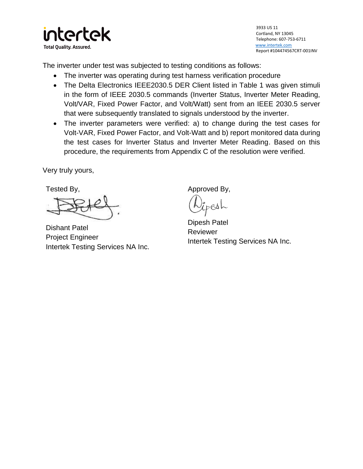

The inverter under test was subjected to testing conditions as follows:

- The inverter was operating during test harness verification procedure
- The Delta Electronics IEEE2030.5 DER Client listed in Table 1 was given stimuli in the form of IEEE 2030.5 commands (Inverter Status, Inverter Meter Reading, Volt/VAR, Fixed Power Factor, and Volt/Watt) sent from an IEEE 2030.5 server that were subsequently translated to signals understood by the inverter.
- The inverter parameters were verified: a) to change during the test cases for Volt-VAR, Fixed Power Factor, and Volt-Watt and b) report monitored data during the test cases for Inverter Status and Inverter Meter Reading. Based on this procedure, the requirements from Appendix C of the resolution were verified.

Very truly yours,

Tested By,

Dishant Patel Project Engineer Intertek Testing Services NA Inc.

Approved By,

 $e$ s $\sim$ 

Dipesh Patel Reviewer Intertek Testing Services NA Inc.